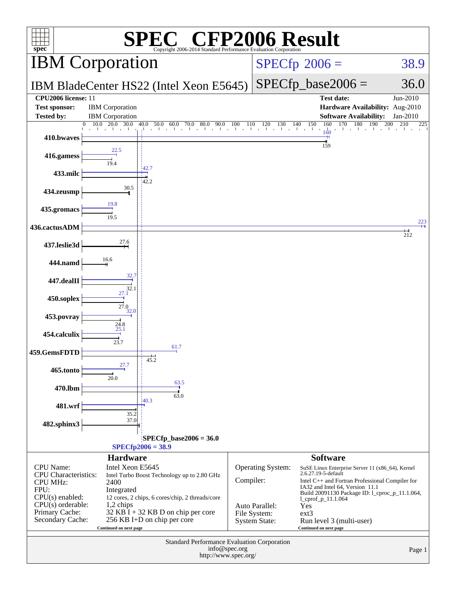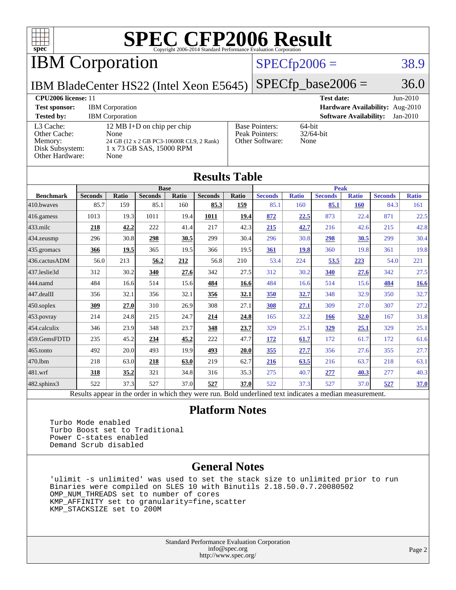

IBM Corporation

#### $SPECfp2006 = 38.9$  $SPECfp2006 = 38.9$

IBM BladeCenter HS22 (Intel Xeon E5645)  $\vert$  [SPECfp\\_base2006 =](http://www.spec.org/auto/cpu2006/Docs/result-fields.html#SPECfpbase2006) 36.0

| CPU <sub>2006</sub> license: 11                                            |                                                                                                                    |                                                            | $Jun-2010$<br><b>Test date:</b>           |
|----------------------------------------------------------------------------|--------------------------------------------------------------------------------------------------------------------|------------------------------------------------------------|-------------------------------------------|
| <b>Test sponsor:</b>                                                       | <b>IBM</b> Corporation                                                                                             |                                                            | Hardware Availability: Aug-2010           |
| <b>Tested by:</b>                                                          | <b>IBM</b> Corporation                                                                                             |                                                            | <b>Software Availability:</b><br>Jan-2010 |
| L3 Cache:<br>Other Cache:<br>Memory:<br>Disk Subsystem:<br>Other Hardware: | 12 MB I+D on chip per chip<br>None<br>24 GB (12 x 2 GB PC3-10600R CL9, 2 Rank)<br>1 x 73 GB SAS, 15000 RPM<br>None | <b>Base Pointers:</b><br>Peak Pointers:<br>Other Software: | 64-bit<br>$32/64$ -bit<br>None            |

| <b>Results Table</b>                                                                                     |                |              |                |       |                |       |                |              |                |              |                |              |
|----------------------------------------------------------------------------------------------------------|----------------|--------------|----------------|-------|----------------|-------|----------------|--------------|----------------|--------------|----------------|--------------|
|                                                                                                          |                |              | <b>Base</b>    |       |                |       | <b>Peak</b>    |              |                |              |                |              |
| <b>Benchmark</b>                                                                                         | <b>Seconds</b> | <b>Ratio</b> | <b>Seconds</b> | Ratio | <b>Seconds</b> | Ratio | <b>Seconds</b> | <b>Ratio</b> | <b>Seconds</b> | <b>Ratio</b> | <b>Seconds</b> | <b>Ratio</b> |
| 410.bwayes                                                                                               | 85.7           | 159          | 85.1           | 160   | 85.3           | 159   | 85.1           | 160          | 85.1           | <b>160</b>   | 84.3           | 161          |
| $416$ .gamess                                                                                            | 1013           | 19.3         | 1011           | 19.4  | 1011           | 19.4  | 872            | 22.5         | 873            | 22.4         | 871            | 22.5         |
| $433$ .milc                                                                                              | 218            | 42.2         | 222            | 41.4  | 217            | 42.3  | 215            | 42.7         | 216            | 42.6         | 215            | 42.8         |
| 434.zeusmp                                                                                               | 296            | 30.8         | 298            | 30.5  | 299            | 30.4  | 296            | 30.8         | 298            | 30.5         | 299            | 30.4         |
| $435$ .gromacs                                                                                           | 366            | 19.5         | 365            | 19.5  | 366            | 19.5  | 361            | 19.8         | 360            | 19.8         | 361            | 19.8         |
| 436.cactusADM                                                                                            | 56.0           | 213          | 56.2           | 212   | 56.8           | 210   | 53.4           | 224          | 53.5           | 223          | 54.0           | 221          |
| 437.leslie3d                                                                                             | 312            | 30.2         | 340            | 27.6  | 342            | 27.5  | 312            | 30.2         | 340            | 27.6         | 342            | 27.5         |
| 444.namd                                                                                                 | 484            | 16.6         | 514            | 15.6  | 484            | 16.6  | 484            | 16.6         | 514            | 15.6         | 484            | <b>16.6</b>  |
| 447.dealII                                                                                               | 356            | 32.1         | 356            | 32.1  | 356            | 32.1  | 350            | 32.7         | 348            | 32.9         | 350            | 32.7         |
| $450$ .soplex                                                                                            | 309            | 27.0         | 310            | 26.9  | 308            | 27.1  | 308            | 27.1         | 309            | 27.0         | 307            | 27.2         |
| 453.povray                                                                                               | 214            | 24.8         | 215            | 24.7  | 214            | 24.8  | 165            | 32.2         | 166            | 32.0         | 167            | 31.8         |
| 454.calculix                                                                                             | 346            | 23.9         | 348            | 23.7  | 348            | 23.7  | 329            | 25.1         | <u>329</u>     | 25.1         | 329            | 25.1         |
| 459.GemsFDTD                                                                                             | 235            | 45.2         | 234            | 45.2  | 222            | 47.7  | <u>172</u>     | 61.7         | 172            | 61.7         | 172            | 61.6         |
| 465.tonto                                                                                                | 492            | 20.0         | 493            | 19.9  | 493            | 20.0  | 355            | 27.7         | 356            | 27.6         | 355            | 27.7         |
| 470.1bm                                                                                                  | 218            | 63.0         | 218            | 63.0  | 219            | 62.7  | 216            | 63.5         | 216            | 63.7         | 218            | 63.1         |
| $ 481$ .wrf                                                                                              | 318            | 35.2         | 321            | 34.8  | 316            | 35.3  | 275            | 40.7         | 277            | 40.3         | 277            | 40.3         |
| $482$ .sphinx $3$                                                                                        | 522            | 37.3         | 527            | 37.0  | 527            | 37.0  | 522            | 37.3         | 527            | 37.0         | 527            | 37.0         |
| Results appear in the order in which they were run. Bold underlined text indicates a median measurement. |                |              |                |       |                |       |                |              |                |              |                |              |

#### **[Platform Notes](http://www.spec.org/auto/cpu2006/Docs/result-fields.html#PlatformNotes)**

 Turbo Mode enabled Turbo Boost set to Traditional Power C-states enabled Demand Scrub disabled

#### **[General Notes](http://www.spec.org/auto/cpu2006/Docs/result-fields.html#GeneralNotes)**

 'ulimit -s unlimited' was used to set the stack size to unlimited prior to run Binaries were compiled on SLES 10 with Binutils 2.18.50.0.7.20080502 OMP\_NUM\_THREADS set to number of cores KMP\_AFFINITY set to granularity=fine,scatter KMP\_STACKSIZE set to 200M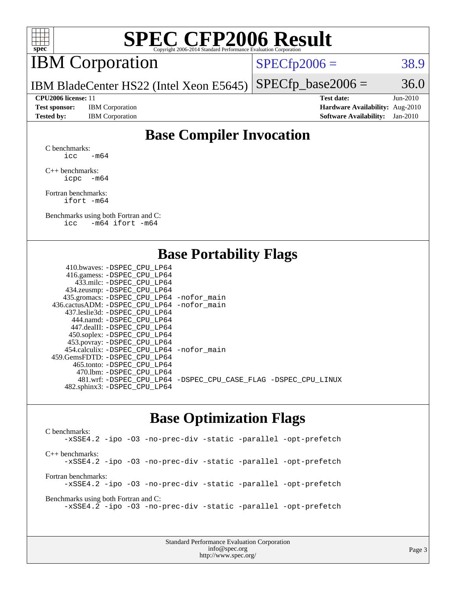

## IBM Corporation

 $SPECTp2006 = 38.9$ 

IBM BladeCenter HS22 (Intel Xeon E5645)  $SPECTp\_base2006 = 36.0$ 

**[Test sponsor:](http://www.spec.org/auto/cpu2006/Docs/result-fields.html#Testsponsor)** IBM Corporation **[Hardware Availability:](http://www.spec.org/auto/cpu2006/Docs/result-fields.html#HardwareAvailability)** Aug-2010

**[CPU2006 license:](http://www.spec.org/auto/cpu2006/Docs/result-fields.html#CPU2006license)** 11 **[Test date:](http://www.spec.org/auto/cpu2006/Docs/result-fields.html#Testdate)** Jun-2010 **[Tested by:](http://www.spec.org/auto/cpu2006/Docs/result-fields.html#Testedby)** IBM Corporation **[Software Availability:](http://www.spec.org/auto/cpu2006/Docs/result-fields.html#SoftwareAvailability)** Jan-2010

### **[Base Compiler Invocation](http://www.spec.org/auto/cpu2006/Docs/result-fields.html#BaseCompilerInvocation)**

[C benchmarks](http://www.spec.org/auto/cpu2006/Docs/result-fields.html#Cbenchmarks):  $\text{icc}$  -m64

[C++ benchmarks:](http://www.spec.org/auto/cpu2006/Docs/result-fields.html#CXXbenchmarks) [icpc -m64](http://www.spec.org/cpu2006/results/res2010q3/cpu2006-20100817-13012.flags.html#user_CXXbase_intel_icpc_64bit_bedb90c1146cab66620883ef4f41a67e)

[Fortran benchmarks](http://www.spec.org/auto/cpu2006/Docs/result-fields.html#Fortranbenchmarks): [ifort -m64](http://www.spec.org/cpu2006/results/res2010q3/cpu2006-20100817-13012.flags.html#user_FCbase_intel_ifort_64bit_ee9d0fb25645d0210d97eb0527dcc06e)

[Benchmarks using both Fortran and C](http://www.spec.org/auto/cpu2006/Docs/result-fields.html#BenchmarksusingbothFortranandC): [icc -m64](http://www.spec.org/cpu2006/results/res2010q3/cpu2006-20100817-13012.flags.html#user_CC_FCbase_intel_icc_64bit_0b7121f5ab7cfabee23d88897260401c) [ifort -m64](http://www.spec.org/cpu2006/results/res2010q3/cpu2006-20100817-13012.flags.html#user_CC_FCbase_intel_ifort_64bit_ee9d0fb25645d0210d97eb0527dcc06e)

#### **[Base Portability Flags](http://www.spec.org/auto/cpu2006/Docs/result-fields.html#BasePortabilityFlags)**

| 410.bwaves: -DSPEC CPU LP64                  |                                                                |
|----------------------------------------------|----------------------------------------------------------------|
| 416.gamess: - DSPEC_CPU_LP64                 |                                                                |
| 433.milc: -DSPEC CPU LP64                    |                                                                |
| 434.zeusmp: -DSPEC_CPU_LP64                  |                                                                |
| 435.gromacs: -DSPEC_CPU_LP64 -nofor_main     |                                                                |
| 436.cactusADM: - DSPEC CPU LP64 - nofor main |                                                                |
| 437.leslie3d: -DSPEC CPU LP64                |                                                                |
| 444.namd: - DSPEC CPU LP64                   |                                                                |
| 447.dealII: - DSPEC CPU LP64                 |                                                                |
| 450.soplex: -DSPEC_CPU_LP64                  |                                                                |
| 453.povray: -DSPEC_CPU_LP64                  |                                                                |
| 454.calculix: - DSPEC CPU LP64 - nofor main  |                                                                |
| 459. GemsFDTD: - DSPEC CPU LP64              |                                                                |
| 465.tonto: - DSPEC CPU LP64                  |                                                                |
| 470.1bm: - DSPEC CPU LP64                    |                                                                |
|                                              | 481.wrf: -DSPEC_CPU_LP64 -DSPEC_CPU_CASE_FLAG -DSPEC_CPU_LINUX |
| 482.sphinx3: -DSPEC_CPU_LP64                 |                                                                |
|                                              |                                                                |

#### **[Base Optimization Flags](http://www.spec.org/auto/cpu2006/Docs/result-fields.html#BaseOptimizationFlags)**

[C benchmarks](http://www.spec.org/auto/cpu2006/Docs/result-fields.html#Cbenchmarks): [-xSSE4.2](http://www.spec.org/cpu2006/results/res2010q3/cpu2006-20100817-13012.flags.html#user_CCbase_f-xSSE42_f91528193cf0b216347adb8b939d4107) [-ipo](http://www.spec.org/cpu2006/results/res2010q3/cpu2006-20100817-13012.flags.html#user_CCbase_f-ipo) [-O3](http://www.spec.org/cpu2006/results/res2010q3/cpu2006-20100817-13012.flags.html#user_CCbase_f-O3) [-no-prec-div](http://www.spec.org/cpu2006/results/res2010q3/cpu2006-20100817-13012.flags.html#user_CCbase_f-no-prec-div) [-static](http://www.spec.org/cpu2006/results/res2010q3/cpu2006-20100817-13012.flags.html#user_CCbase_f-static) [-parallel](http://www.spec.org/cpu2006/results/res2010q3/cpu2006-20100817-13012.flags.html#user_CCbase_f-parallel) [-opt-prefetch](http://www.spec.org/cpu2006/results/res2010q3/cpu2006-20100817-13012.flags.html#user_CCbase_f-opt-prefetch) [C++ benchmarks:](http://www.spec.org/auto/cpu2006/Docs/result-fields.html#CXXbenchmarks) [-xSSE4.2](http://www.spec.org/cpu2006/results/res2010q3/cpu2006-20100817-13012.flags.html#user_CXXbase_f-xSSE42_f91528193cf0b216347adb8b939d4107) [-ipo](http://www.spec.org/cpu2006/results/res2010q3/cpu2006-20100817-13012.flags.html#user_CXXbase_f-ipo) [-O3](http://www.spec.org/cpu2006/results/res2010q3/cpu2006-20100817-13012.flags.html#user_CXXbase_f-O3) [-no-prec-div](http://www.spec.org/cpu2006/results/res2010q3/cpu2006-20100817-13012.flags.html#user_CXXbase_f-no-prec-div) [-static](http://www.spec.org/cpu2006/results/res2010q3/cpu2006-20100817-13012.flags.html#user_CXXbase_f-static) [-parallel](http://www.spec.org/cpu2006/results/res2010q3/cpu2006-20100817-13012.flags.html#user_CXXbase_f-parallel) [-opt-prefetch](http://www.spec.org/cpu2006/results/res2010q3/cpu2006-20100817-13012.flags.html#user_CXXbase_f-opt-prefetch) [Fortran benchmarks](http://www.spec.org/auto/cpu2006/Docs/result-fields.html#Fortranbenchmarks): [-xSSE4.2](http://www.spec.org/cpu2006/results/res2010q3/cpu2006-20100817-13012.flags.html#user_FCbase_f-xSSE42_f91528193cf0b216347adb8b939d4107) [-ipo](http://www.spec.org/cpu2006/results/res2010q3/cpu2006-20100817-13012.flags.html#user_FCbase_f-ipo) [-O3](http://www.spec.org/cpu2006/results/res2010q3/cpu2006-20100817-13012.flags.html#user_FCbase_f-O3) [-no-prec-div](http://www.spec.org/cpu2006/results/res2010q3/cpu2006-20100817-13012.flags.html#user_FCbase_f-no-prec-div) [-static](http://www.spec.org/cpu2006/results/res2010q3/cpu2006-20100817-13012.flags.html#user_FCbase_f-static) [-parallel](http://www.spec.org/cpu2006/results/res2010q3/cpu2006-20100817-13012.flags.html#user_FCbase_f-parallel) [-opt-prefetch](http://www.spec.org/cpu2006/results/res2010q3/cpu2006-20100817-13012.flags.html#user_FCbase_f-opt-prefetch) [Benchmarks using both Fortran and C](http://www.spec.org/auto/cpu2006/Docs/result-fields.html#BenchmarksusingbothFortranandC): [-xSSE4.2](http://www.spec.org/cpu2006/results/res2010q3/cpu2006-20100817-13012.flags.html#user_CC_FCbase_f-xSSE42_f91528193cf0b216347adb8b939d4107) [-ipo](http://www.spec.org/cpu2006/results/res2010q3/cpu2006-20100817-13012.flags.html#user_CC_FCbase_f-ipo) [-O3](http://www.spec.org/cpu2006/results/res2010q3/cpu2006-20100817-13012.flags.html#user_CC_FCbase_f-O3) [-no-prec-div](http://www.spec.org/cpu2006/results/res2010q3/cpu2006-20100817-13012.flags.html#user_CC_FCbase_f-no-prec-div) [-static](http://www.spec.org/cpu2006/results/res2010q3/cpu2006-20100817-13012.flags.html#user_CC_FCbase_f-static) [-parallel](http://www.spec.org/cpu2006/results/res2010q3/cpu2006-20100817-13012.flags.html#user_CC_FCbase_f-parallel) [-opt-prefetch](http://www.spec.org/cpu2006/results/res2010q3/cpu2006-20100817-13012.flags.html#user_CC_FCbase_f-opt-prefetch)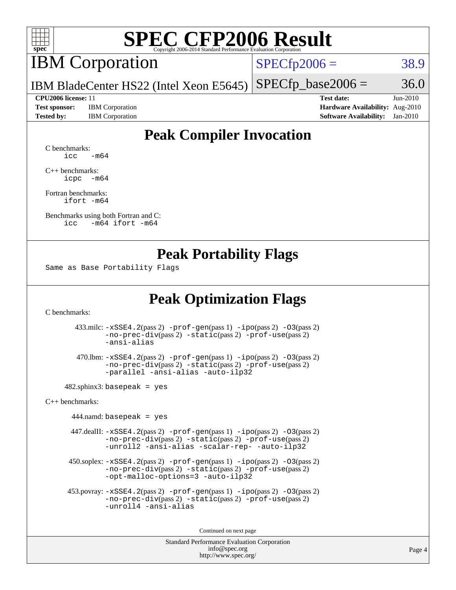

### IBM Corporation

 $SPECfp2006 = 38.9$  $SPECfp2006 = 38.9$ 

IBM BladeCenter HS22 (Intel Xeon E5645)  $SPECTp\_base2006 = 36.0$ 

**[Test sponsor:](http://www.spec.org/auto/cpu2006/Docs/result-fields.html#Testsponsor)** IBM Corporation **[Hardware Availability:](http://www.spec.org/auto/cpu2006/Docs/result-fields.html#HardwareAvailability)** Aug-2010

**[CPU2006 license:](http://www.spec.org/auto/cpu2006/Docs/result-fields.html#CPU2006license)** 11 **[Test date:](http://www.spec.org/auto/cpu2006/Docs/result-fields.html#Testdate)** Jun-2010 **[Tested by:](http://www.spec.org/auto/cpu2006/Docs/result-fields.html#Testedby)** IBM Corporation **[Software Availability:](http://www.spec.org/auto/cpu2006/Docs/result-fields.html#SoftwareAvailability)** Jan-2010

### **[Peak Compiler Invocation](http://www.spec.org/auto/cpu2006/Docs/result-fields.html#PeakCompilerInvocation)**

[C benchmarks](http://www.spec.org/auto/cpu2006/Docs/result-fields.html#Cbenchmarks):  $\text{icc}$   $-\text{m64}$ 

[C++ benchmarks:](http://www.spec.org/auto/cpu2006/Docs/result-fields.html#CXXbenchmarks) [icpc -m64](http://www.spec.org/cpu2006/results/res2010q3/cpu2006-20100817-13012.flags.html#user_CXXpeak_intel_icpc_64bit_bedb90c1146cab66620883ef4f41a67e)

[Fortran benchmarks](http://www.spec.org/auto/cpu2006/Docs/result-fields.html#Fortranbenchmarks): [ifort -m64](http://www.spec.org/cpu2006/results/res2010q3/cpu2006-20100817-13012.flags.html#user_FCpeak_intel_ifort_64bit_ee9d0fb25645d0210d97eb0527dcc06e)

[Benchmarks using both Fortran and C](http://www.spec.org/auto/cpu2006/Docs/result-fields.html#BenchmarksusingbothFortranandC): [icc -m64](http://www.spec.org/cpu2006/results/res2010q3/cpu2006-20100817-13012.flags.html#user_CC_FCpeak_intel_icc_64bit_0b7121f5ab7cfabee23d88897260401c) [ifort -m64](http://www.spec.org/cpu2006/results/res2010q3/cpu2006-20100817-13012.flags.html#user_CC_FCpeak_intel_ifort_64bit_ee9d0fb25645d0210d97eb0527dcc06e)

#### **[Peak Portability Flags](http://www.spec.org/auto/cpu2006/Docs/result-fields.html#PeakPortabilityFlags)**

Same as Base Portability Flags

### **[Peak Optimization Flags](http://www.spec.org/auto/cpu2006/Docs/result-fields.html#PeakOptimizationFlags)**

[C benchmarks](http://www.spec.org/auto/cpu2006/Docs/result-fields.html#Cbenchmarks):

 433.milc: [-xSSE4.2](http://www.spec.org/cpu2006/results/res2010q3/cpu2006-20100817-13012.flags.html#user_peakPASS2_CFLAGSPASS2_LDFLAGS433_milc_f-xSSE42_f91528193cf0b216347adb8b939d4107)(pass 2) [-prof-gen](http://www.spec.org/cpu2006/results/res2010q3/cpu2006-20100817-13012.flags.html#user_peakPASS1_CFLAGSPASS1_LDFLAGS433_milc_prof_gen_e43856698f6ca7b7e442dfd80e94a8fc)(pass 1) [-ipo](http://www.spec.org/cpu2006/results/res2010q3/cpu2006-20100817-13012.flags.html#user_peakPASS2_CFLAGSPASS2_LDFLAGS433_milc_f-ipo)(pass 2) [-O3](http://www.spec.org/cpu2006/results/res2010q3/cpu2006-20100817-13012.flags.html#user_peakPASS2_CFLAGSPASS2_LDFLAGS433_milc_f-O3)(pass 2) [-no-prec-div](http://www.spec.org/cpu2006/results/res2010q3/cpu2006-20100817-13012.flags.html#user_peakPASS2_CFLAGSPASS2_LDFLAGS433_milc_f-no-prec-div)(pass 2) [-static](http://www.spec.org/cpu2006/results/res2010q3/cpu2006-20100817-13012.flags.html#user_peakPASS2_CFLAGSPASS2_LDFLAGS433_milc_f-static)(pass 2) [-prof-use](http://www.spec.org/cpu2006/results/res2010q3/cpu2006-20100817-13012.flags.html#user_peakPASS2_CFLAGSPASS2_LDFLAGS433_milc_prof_use_bccf7792157ff70d64e32fe3e1250b55)(pass 2) [-ansi-alias](http://www.spec.org/cpu2006/results/res2010q3/cpu2006-20100817-13012.flags.html#user_peakOPTIMIZE433_milc_f-ansi-alias)

 470.lbm: [-xSSE4.2](http://www.spec.org/cpu2006/results/res2010q3/cpu2006-20100817-13012.flags.html#user_peakPASS2_CFLAGSPASS2_LDFLAGS470_lbm_f-xSSE42_f91528193cf0b216347adb8b939d4107)(pass 2) [-prof-gen](http://www.spec.org/cpu2006/results/res2010q3/cpu2006-20100817-13012.flags.html#user_peakPASS1_CFLAGSPASS1_LDFLAGS470_lbm_prof_gen_e43856698f6ca7b7e442dfd80e94a8fc)(pass 1) [-ipo](http://www.spec.org/cpu2006/results/res2010q3/cpu2006-20100817-13012.flags.html#user_peakPASS2_CFLAGSPASS2_LDFLAGS470_lbm_f-ipo)(pass 2) [-O3](http://www.spec.org/cpu2006/results/res2010q3/cpu2006-20100817-13012.flags.html#user_peakPASS2_CFLAGSPASS2_LDFLAGS470_lbm_f-O3)(pass 2) [-no-prec-div](http://www.spec.org/cpu2006/results/res2010q3/cpu2006-20100817-13012.flags.html#user_peakPASS2_CFLAGSPASS2_LDFLAGS470_lbm_f-no-prec-div)(pass 2) [-static](http://www.spec.org/cpu2006/results/res2010q3/cpu2006-20100817-13012.flags.html#user_peakPASS2_CFLAGSPASS2_LDFLAGS470_lbm_f-static)(pass 2) [-prof-use](http://www.spec.org/cpu2006/results/res2010q3/cpu2006-20100817-13012.flags.html#user_peakPASS2_CFLAGSPASS2_LDFLAGS470_lbm_prof_use_bccf7792157ff70d64e32fe3e1250b55)(pass 2) [-parallel](http://www.spec.org/cpu2006/results/res2010q3/cpu2006-20100817-13012.flags.html#user_peakOPTIMIZE470_lbm_f-parallel) [-ansi-alias](http://www.spec.org/cpu2006/results/res2010q3/cpu2006-20100817-13012.flags.html#user_peakOPTIMIZE470_lbm_f-ansi-alias) [-auto-ilp32](http://www.spec.org/cpu2006/results/res2010q3/cpu2006-20100817-13012.flags.html#user_peakCOPTIMIZE470_lbm_f-auto-ilp32)

 $482$ .sphinx3: basepeak = yes

[C++ benchmarks:](http://www.spec.org/auto/cpu2006/Docs/result-fields.html#CXXbenchmarks)

 $444$ .namd: basepeak = yes

 447.dealII: [-xSSE4.2](http://www.spec.org/cpu2006/results/res2010q3/cpu2006-20100817-13012.flags.html#user_peakPASS2_CXXFLAGSPASS2_LDFLAGS447_dealII_f-xSSE42_f91528193cf0b216347adb8b939d4107)(pass 2) [-prof-gen](http://www.spec.org/cpu2006/results/res2010q3/cpu2006-20100817-13012.flags.html#user_peakPASS1_CXXFLAGSPASS1_LDFLAGS447_dealII_prof_gen_e43856698f6ca7b7e442dfd80e94a8fc)(pass 1) [-ipo](http://www.spec.org/cpu2006/results/res2010q3/cpu2006-20100817-13012.flags.html#user_peakPASS2_CXXFLAGSPASS2_LDFLAGS447_dealII_f-ipo)(pass 2) [-O3](http://www.spec.org/cpu2006/results/res2010q3/cpu2006-20100817-13012.flags.html#user_peakPASS2_CXXFLAGSPASS2_LDFLAGS447_dealII_f-O3)(pass 2) [-no-prec-div](http://www.spec.org/cpu2006/results/res2010q3/cpu2006-20100817-13012.flags.html#user_peakPASS2_CXXFLAGSPASS2_LDFLAGS447_dealII_f-no-prec-div)(pass 2) [-static](http://www.spec.org/cpu2006/results/res2010q3/cpu2006-20100817-13012.flags.html#user_peakPASS2_CXXFLAGSPASS2_LDFLAGS447_dealII_f-static)(pass 2) [-prof-use](http://www.spec.org/cpu2006/results/res2010q3/cpu2006-20100817-13012.flags.html#user_peakPASS2_CXXFLAGSPASS2_LDFLAGS447_dealII_prof_use_bccf7792157ff70d64e32fe3e1250b55)(pass 2) [-unroll2](http://www.spec.org/cpu2006/results/res2010q3/cpu2006-20100817-13012.flags.html#user_peakOPTIMIZE447_dealII_f-unroll_784dae83bebfb236979b41d2422d7ec2) [-ansi-alias](http://www.spec.org/cpu2006/results/res2010q3/cpu2006-20100817-13012.flags.html#user_peakOPTIMIZE447_dealII_f-ansi-alias) [-scalar-rep-](http://www.spec.org/cpu2006/results/res2010q3/cpu2006-20100817-13012.flags.html#user_peakOPTIMIZE447_dealII_f-disablescalarrep_abbcad04450fb118e4809c81d83c8a1d) [-auto-ilp32](http://www.spec.org/cpu2006/results/res2010q3/cpu2006-20100817-13012.flags.html#user_peakCXXOPTIMIZE447_dealII_f-auto-ilp32)

 $450.\text{soplex: } -x\text{SSE4}.2(\text{pass 2}) -\text{prof-gen}(\text{pass 1}) -\text{ipo}(\text{pass 2}) -\text{O3}(\text{pass 2})$ [-no-prec-div](http://www.spec.org/cpu2006/results/res2010q3/cpu2006-20100817-13012.flags.html#user_peakPASS2_CXXFLAGSPASS2_LDFLAGS450_soplex_f-no-prec-div)(pass 2) [-static](http://www.spec.org/cpu2006/results/res2010q3/cpu2006-20100817-13012.flags.html#user_peakPASS2_CXXFLAGSPASS2_LDFLAGS450_soplex_f-static)(pass 2) [-prof-use](http://www.spec.org/cpu2006/results/res2010q3/cpu2006-20100817-13012.flags.html#user_peakPASS2_CXXFLAGSPASS2_LDFLAGS450_soplex_prof_use_bccf7792157ff70d64e32fe3e1250b55)(pass 2) [-opt-malloc-options=3](http://www.spec.org/cpu2006/results/res2010q3/cpu2006-20100817-13012.flags.html#user_peakOPTIMIZE450_soplex_f-opt-malloc-options_13ab9b803cf986b4ee62f0a5998c2238) [-auto-ilp32](http://www.spec.org/cpu2006/results/res2010q3/cpu2006-20100817-13012.flags.html#user_peakCXXOPTIMIZE450_soplex_f-auto-ilp32)

 453.povray: [-xSSE4.2](http://www.spec.org/cpu2006/results/res2010q3/cpu2006-20100817-13012.flags.html#user_peakPASS2_CXXFLAGSPASS2_LDFLAGS453_povray_f-xSSE42_f91528193cf0b216347adb8b939d4107)(pass 2) [-prof-gen](http://www.spec.org/cpu2006/results/res2010q3/cpu2006-20100817-13012.flags.html#user_peakPASS1_CXXFLAGSPASS1_LDFLAGS453_povray_prof_gen_e43856698f6ca7b7e442dfd80e94a8fc)(pass 1) [-ipo](http://www.spec.org/cpu2006/results/res2010q3/cpu2006-20100817-13012.flags.html#user_peakPASS2_CXXFLAGSPASS2_LDFLAGS453_povray_f-ipo)(pass 2) [-O3](http://www.spec.org/cpu2006/results/res2010q3/cpu2006-20100817-13012.flags.html#user_peakPASS2_CXXFLAGSPASS2_LDFLAGS453_povray_f-O3)(pass 2) [-no-prec-div](http://www.spec.org/cpu2006/results/res2010q3/cpu2006-20100817-13012.flags.html#user_peakPASS2_CXXFLAGSPASS2_LDFLAGS453_povray_f-no-prec-div)(pass 2) [-static](http://www.spec.org/cpu2006/results/res2010q3/cpu2006-20100817-13012.flags.html#user_peakPASS2_CXXFLAGSPASS2_LDFLAGS453_povray_f-static)(pass 2) [-prof-use](http://www.spec.org/cpu2006/results/res2010q3/cpu2006-20100817-13012.flags.html#user_peakPASS2_CXXFLAGSPASS2_LDFLAGS453_povray_prof_use_bccf7792157ff70d64e32fe3e1250b55)(pass 2) [-unroll4](http://www.spec.org/cpu2006/results/res2010q3/cpu2006-20100817-13012.flags.html#user_peakCXXOPTIMIZE453_povray_f-unroll_4e5e4ed65b7fd20bdcd365bec371b81f) [-ansi-alias](http://www.spec.org/cpu2006/results/res2010q3/cpu2006-20100817-13012.flags.html#user_peakCXXOPTIMIZE453_povray_f-ansi-alias)

Continued on next page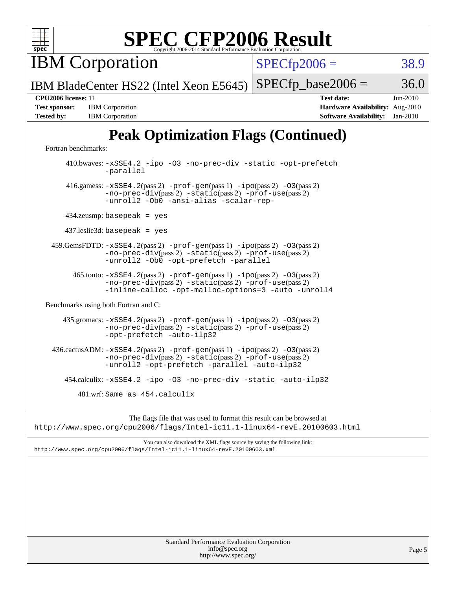

IBM Corporation

 $SPECTp2006 = 38.9$ 

IBM BladeCenter HS22 (Intel Xeon E5645)  $SPECTp\_base2006 = 36.0$ 

**[Test sponsor:](http://www.spec.org/auto/cpu2006/Docs/result-fields.html#Testsponsor)** IBM Corporation **[Hardware Availability:](http://www.spec.org/auto/cpu2006/Docs/result-fields.html#HardwareAvailability)** Aug-2010 **[Tested by:](http://www.spec.org/auto/cpu2006/Docs/result-fields.html#Testedby)** IBM Corporation **[Software Availability:](http://www.spec.org/auto/cpu2006/Docs/result-fields.html#SoftwareAvailability)** Jan-2010

**[CPU2006 license:](http://www.spec.org/auto/cpu2006/Docs/result-fields.html#CPU2006license)** 11 **[Test date:](http://www.spec.org/auto/cpu2006/Docs/result-fields.html#Testdate)** Jun-2010

## **[Peak Optimization Flags \(Continued\)](http://www.spec.org/auto/cpu2006/Docs/result-fields.html#PeakOptimizationFlags)**

[Fortran benchmarks](http://www.spec.org/auto/cpu2006/Docs/result-fields.html#Fortranbenchmarks):

 410.bwaves: [-xSSE4.2](http://www.spec.org/cpu2006/results/res2010q3/cpu2006-20100817-13012.flags.html#user_peakOPTIMIZE410_bwaves_f-xSSE42_f91528193cf0b216347adb8b939d4107) [-ipo](http://www.spec.org/cpu2006/results/res2010q3/cpu2006-20100817-13012.flags.html#user_peakOPTIMIZE410_bwaves_f-ipo) [-O3](http://www.spec.org/cpu2006/results/res2010q3/cpu2006-20100817-13012.flags.html#user_peakOPTIMIZE410_bwaves_f-O3) [-no-prec-div](http://www.spec.org/cpu2006/results/res2010q3/cpu2006-20100817-13012.flags.html#user_peakOPTIMIZE410_bwaves_f-no-prec-div) [-static](http://www.spec.org/cpu2006/results/res2010q3/cpu2006-20100817-13012.flags.html#user_peakOPTIMIZE410_bwaves_f-static) [-opt-prefetch](http://www.spec.org/cpu2006/results/res2010q3/cpu2006-20100817-13012.flags.html#user_peakOPTIMIZE410_bwaves_f-opt-prefetch) [-parallel](http://www.spec.org/cpu2006/results/res2010q3/cpu2006-20100817-13012.flags.html#user_peakOPTIMIZE410_bwaves_f-parallel) 416.gamess: [-xSSE4.2](http://www.spec.org/cpu2006/results/res2010q3/cpu2006-20100817-13012.flags.html#user_peakPASS2_FFLAGSPASS2_LDFLAGS416_gamess_f-xSSE42_f91528193cf0b216347adb8b939d4107)(pass 2) [-prof-gen](http://www.spec.org/cpu2006/results/res2010q3/cpu2006-20100817-13012.flags.html#user_peakPASS1_FFLAGSPASS1_LDFLAGS416_gamess_prof_gen_e43856698f6ca7b7e442dfd80e94a8fc)(pass 1) [-ipo](http://www.spec.org/cpu2006/results/res2010q3/cpu2006-20100817-13012.flags.html#user_peakPASS2_FFLAGSPASS2_LDFLAGS416_gamess_f-ipo)(pass 2) [-O3](http://www.spec.org/cpu2006/results/res2010q3/cpu2006-20100817-13012.flags.html#user_peakPASS2_FFLAGSPASS2_LDFLAGS416_gamess_f-O3)(pass 2) [-no-prec-div](http://www.spec.org/cpu2006/results/res2010q3/cpu2006-20100817-13012.flags.html#user_peakPASS2_FFLAGSPASS2_LDFLAGS416_gamess_f-no-prec-div)(pass 2) [-static](http://www.spec.org/cpu2006/results/res2010q3/cpu2006-20100817-13012.flags.html#user_peakPASS2_FFLAGSPASS2_LDFLAGS416_gamess_f-static)(pass 2) [-prof-use](http://www.spec.org/cpu2006/results/res2010q3/cpu2006-20100817-13012.flags.html#user_peakPASS2_FFLAGSPASS2_LDFLAGS416_gamess_prof_use_bccf7792157ff70d64e32fe3e1250b55)(pass 2) [-unroll2](http://www.spec.org/cpu2006/results/res2010q3/cpu2006-20100817-13012.flags.html#user_peakOPTIMIZE416_gamess_f-unroll_784dae83bebfb236979b41d2422d7ec2) [-Ob0](http://www.spec.org/cpu2006/results/res2010q3/cpu2006-20100817-13012.flags.html#user_peakOPTIMIZE416_gamess_f-Ob_n_fbe6f6428adb7d4b74b1e99bb2444c2d) [-ansi-alias](http://www.spec.org/cpu2006/results/res2010q3/cpu2006-20100817-13012.flags.html#user_peakOPTIMIZE416_gamess_f-ansi-alias) [-scalar-rep-](http://www.spec.org/cpu2006/results/res2010q3/cpu2006-20100817-13012.flags.html#user_peakOPTIMIZE416_gamess_f-disablescalarrep_abbcad04450fb118e4809c81d83c8a1d) 434.zeusmp: basepeak = yes 437.leslie3d: basepeak = yes 459.GemsFDTD: [-xSSE4.2](http://www.spec.org/cpu2006/results/res2010q3/cpu2006-20100817-13012.flags.html#user_peakPASS2_FFLAGSPASS2_LDFLAGS459_GemsFDTD_f-xSSE42_f91528193cf0b216347adb8b939d4107)(pass 2) [-prof-gen](http://www.spec.org/cpu2006/results/res2010q3/cpu2006-20100817-13012.flags.html#user_peakPASS1_FFLAGSPASS1_LDFLAGS459_GemsFDTD_prof_gen_e43856698f6ca7b7e442dfd80e94a8fc)(pass 1) [-ipo](http://www.spec.org/cpu2006/results/res2010q3/cpu2006-20100817-13012.flags.html#user_peakPASS2_FFLAGSPASS2_LDFLAGS459_GemsFDTD_f-ipo)(pass 2) [-O3](http://www.spec.org/cpu2006/results/res2010q3/cpu2006-20100817-13012.flags.html#user_peakPASS2_FFLAGSPASS2_LDFLAGS459_GemsFDTD_f-O3)(pass 2) [-no-prec-div](http://www.spec.org/cpu2006/results/res2010q3/cpu2006-20100817-13012.flags.html#user_peakPASS2_FFLAGSPASS2_LDFLAGS459_GemsFDTD_f-no-prec-div)(pass 2) [-static](http://www.spec.org/cpu2006/results/res2010q3/cpu2006-20100817-13012.flags.html#user_peakPASS2_FFLAGSPASS2_LDFLAGS459_GemsFDTD_f-static)(pass 2) [-prof-use](http://www.spec.org/cpu2006/results/res2010q3/cpu2006-20100817-13012.flags.html#user_peakPASS2_FFLAGSPASS2_LDFLAGS459_GemsFDTD_prof_use_bccf7792157ff70d64e32fe3e1250b55)(pass 2) [-unroll2](http://www.spec.org/cpu2006/results/res2010q3/cpu2006-20100817-13012.flags.html#user_peakOPTIMIZE459_GemsFDTD_f-unroll_784dae83bebfb236979b41d2422d7ec2) [-Ob0](http://www.spec.org/cpu2006/results/res2010q3/cpu2006-20100817-13012.flags.html#user_peakOPTIMIZE459_GemsFDTD_f-Ob_n_fbe6f6428adb7d4b74b1e99bb2444c2d) [-opt-prefetch](http://www.spec.org/cpu2006/results/res2010q3/cpu2006-20100817-13012.flags.html#user_peakOPTIMIZE459_GemsFDTD_f-opt-prefetch) [-parallel](http://www.spec.org/cpu2006/results/res2010q3/cpu2006-20100817-13012.flags.html#user_peakOPTIMIZE459_GemsFDTD_f-parallel) 465.tonto: [-xSSE4.2](http://www.spec.org/cpu2006/results/res2010q3/cpu2006-20100817-13012.flags.html#user_peakPASS2_FFLAGSPASS2_LDFLAGS465_tonto_f-xSSE42_f91528193cf0b216347adb8b939d4107)(pass 2) [-prof-gen](http://www.spec.org/cpu2006/results/res2010q3/cpu2006-20100817-13012.flags.html#user_peakPASS1_FFLAGSPASS1_LDFLAGS465_tonto_prof_gen_e43856698f6ca7b7e442dfd80e94a8fc)(pass 1) [-ipo](http://www.spec.org/cpu2006/results/res2010q3/cpu2006-20100817-13012.flags.html#user_peakPASS2_FFLAGSPASS2_LDFLAGS465_tonto_f-ipo)(pass 2) [-O3](http://www.spec.org/cpu2006/results/res2010q3/cpu2006-20100817-13012.flags.html#user_peakPASS2_FFLAGSPASS2_LDFLAGS465_tonto_f-O3)(pass 2) [-no-prec-div](http://www.spec.org/cpu2006/results/res2010q3/cpu2006-20100817-13012.flags.html#user_peakPASS2_FFLAGSPASS2_LDFLAGS465_tonto_f-no-prec-div)(pass 2) [-static](http://www.spec.org/cpu2006/results/res2010q3/cpu2006-20100817-13012.flags.html#user_peakPASS2_FFLAGSPASS2_LDFLAGS465_tonto_f-static)(pass 2) [-prof-use](http://www.spec.org/cpu2006/results/res2010q3/cpu2006-20100817-13012.flags.html#user_peakPASS2_FFLAGSPASS2_LDFLAGS465_tonto_prof_use_bccf7792157ff70d64e32fe3e1250b55)(pass 2) [-inline-calloc](http://www.spec.org/cpu2006/results/res2010q3/cpu2006-20100817-13012.flags.html#user_peakOPTIMIZE465_tonto_f-inline-calloc) [-opt-malloc-options=3](http://www.spec.org/cpu2006/results/res2010q3/cpu2006-20100817-13012.flags.html#user_peakOPTIMIZE465_tonto_f-opt-malloc-options_13ab9b803cf986b4ee62f0a5998c2238) [-auto](http://www.spec.org/cpu2006/results/res2010q3/cpu2006-20100817-13012.flags.html#user_peakOPTIMIZE465_tonto_f-auto) [-unroll4](http://www.spec.org/cpu2006/results/res2010q3/cpu2006-20100817-13012.flags.html#user_peakOPTIMIZE465_tonto_f-unroll_4e5e4ed65b7fd20bdcd365bec371b81f) [Benchmarks using both Fortran and C](http://www.spec.org/auto/cpu2006/Docs/result-fields.html#BenchmarksusingbothFortranandC): 435.gromacs: [-xSSE4.2](http://www.spec.org/cpu2006/results/res2010q3/cpu2006-20100817-13012.flags.html#user_peakPASS2_CFLAGSPASS2_FFLAGSPASS2_LDFLAGS435_gromacs_f-xSSE42_f91528193cf0b216347adb8b939d4107)(pass 2) [-prof-gen](http://www.spec.org/cpu2006/results/res2010q3/cpu2006-20100817-13012.flags.html#user_peakPASS1_CFLAGSPASS1_FFLAGSPASS1_LDFLAGS435_gromacs_prof_gen_e43856698f6ca7b7e442dfd80e94a8fc)(pass 1) [-ipo](http://www.spec.org/cpu2006/results/res2010q3/cpu2006-20100817-13012.flags.html#user_peakPASS2_CFLAGSPASS2_FFLAGSPASS2_LDFLAGS435_gromacs_f-ipo)(pass 2) [-O3](http://www.spec.org/cpu2006/results/res2010q3/cpu2006-20100817-13012.flags.html#user_peakPASS2_CFLAGSPASS2_FFLAGSPASS2_LDFLAGS435_gromacs_f-O3)(pass 2) [-no-prec-div](http://www.spec.org/cpu2006/results/res2010q3/cpu2006-20100817-13012.flags.html#user_peakPASS2_CFLAGSPASS2_FFLAGSPASS2_LDFLAGS435_gromacs_f-no-prec-div)(pass 2) [-static](http://www.spec.org/cpu2006/results/res2010q3/cpu2006-20100817-13012.flags.html#user_peakPASS2_CFLAGSPASS2_FFLAGSPASS2_LDFLAGS435_gromacs_f-static)(pass 2) [-prof-use](http://www.spec.org/cpu2006/results/res2010q3/cpu2006-20100817-13012.flags.html#user_peakPASS2_CFLAGSPASS2_FFLAGSPASS2_LDFLAGS435_gromacs_prof_use_bccf7792157ff70d64e32fe3e1250b55)(pass 2) [-opt-prefetch](http://www.spec.org/cpu2006/results/res2010q3/cpu2006-20100817-13012.flags.html#user_peakOPTIMIZE435_gromacs_f-opt-prefetch) [-auto-ilp32](http://www.spec.org/cpu2006/results/res2010q3/cpu2006-20100817-13012.flags.html#user_peakCOPTIMIZE435_gromacs_f-auto-ilp32) 436.cactusADM:  $-xSSE4$ . 2(pass 2)  $-prof-gen(pass 1) -ipo(pass 2) -O3(pass 2)$  $-prof-gen(pass 1) -ipo(pass 2) -O3(pass 2)$  $-prof-gen(pass 1) -ipo(pass 2) -O3(pass 2)$  $-prof-gen(pass 1) -ipo(pass 2) -O3(pass 2)$  $-prof-gen(pass 1) -ipo(pass 2) -O3(pass 2)$  $-prof-gen(pass 1) -ipo(pass 2) -O3(pass 2)$ [-no-prec-div](http://www.spec.org/cpu2006/results/res2010q3/cpu2006-20100817-13012.flags.html#user_peakPASS2_CFLAGSPASS2_FFLAGSPASS2_LDFLAGS436_cactusADM_f-no-prec-div)(pass 2) [-static](http://www.spec.org/cpu2006/results/res2010q3/cpu2006-20100817-13012.flags.html#user_peakPASS2_CFLAGSPASS2_FFLAGSPASS2_LDFLAGS436_cactusADM_f-static)(pass 2) [-prof-use](http://www.spec.org/cpu2006/results/res2010q3/cpu2006-20100817-13012.flags.html#user_peakPASS2_CFLAGSPASS2_FFLAGSPASS2_LDFLAGS436_cactusADM_prof_use_bccf7792157ff70d64e32fe3e1250b55)(pass 2) [-unroll2](http://www.spec.org/cpu2006/results/res2010q3/cpu2006-20100817-13012.flags.html#user_peakOPTIMIZE436_cactusADM_f-unroll_784dae83bebfb236979b41d2422d7ec2) [-opt-prefetch](http://www.spec.org/cpu2006/results/res2010q3/cpu2006-20100817-13012.flags.html#user_peakOPTIMIZE436_cactusADM_f-opt-prefetch) [-parallel](http://www.spec.org/cpu2006/results/res2010q3/cpu2006-20100817-13012.flags.html#user_peakOPTIMIZE436_cactusADM_f-parallel) [-auto-ilp32](http://www.spec.org/cpu2006/results/res2010q3/cpu2006-20100817-13012.flags.html#user_peakCOPTIMIZE436_cactusADM_f-auto-ilp32) 454.calculix: [-xSSE4.2](http://www.spec.org/cpu2006/results/res2010q3/cpu2006-20100817-13012.flags.html#user_peakOPTIMIZE454_calculix_f-xSSE42_f91528193cf0b216347adb8b939d4107) [-ipo](http://www.spec.org/cpu2006/results/res2010q3/cpu2006-20100817-13012.flags.html#user_peakOPTIMIZE454_calculix_f-ipo) [-O3](http://www.spec.org/cpu2006/results/res2010q3/cpu2006-20100817-13012.flags.html#user_peakOPTIMIZE454_calculix_f-O3) [-no-prec-div](http://www.spec.org/cpu2006/results/res2010q3/cpu2006-20100817-13012.flags.html#user_peakOPTIMIZE454_calculix_f-no-prec-div) [-static](http://www.spec.org/cpu2006/results/res2010q3/cpu2006-20100817-13012.flags.html#user_peakOPTIMIZE454_calculix_f-static) [-auto-ilp32](http://www.spec.org/cpu2006/results/res2010q3/cpu2006-20100817-13012.flags.html#user_peakCOPTIMIZE454_calculix_f-auto-ilp32) 481.wrf: Same as 454.calculix

The flags file that was used to format this result can be browsed at <http://www.spec.org/cpu2006/flags/Intel-ic11.1-linux64-revE.20100603.html>

You can also download the XML flags source by saving the following link: <http://www.spec.org/cpu2006/flags/Intel-ic11.1-linux64-revE.20100603.xml>